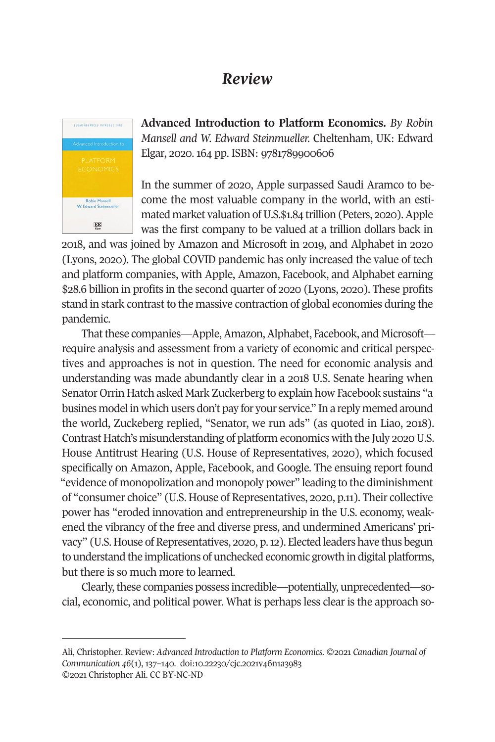## *Review*



**Advanced Introduction to Platform Economics.** *By Robin Mansell and W. Edward Steinmueller.* Cheltenham, UK: Edward Elgar, 2020. 164 pp. ISBN: 9781789900606

In the summer of 2020, Apple surpassed Saudi Aramco to become the most valuable company in the world, with an estimated market valuation of U.S.\$1.84 trillion (Peters, 2020). Apple was the first company to be valued at a trillion dollars back in

2018, and was joined by Amazon and Microsoft in 2019, and Alphabet in 2020 (Lyons, 2020). The global COVID pandemic has only increased the value of tech and platform companies, with Apple, Amazon, Facebook, and Alphabet earning \$28.6 billion in profits in the second quarter of 2020 (Lyons, 2020). These profits stand in stark contrast to the massive contraction of global economies during the pandemic.

That these companies—Apple, Amazon, Alphabet, Facebook, and Microsoft require analysis and assessment from a variety of economic and critical perspectives and approaches is not in question. The need for economic analysis and understanding was made abundantly clear in a 2018 U.S. Senate hearing when Senator Orrin Hatch asked Mark Zuckerberg to explain how Facebook sustains "a busines model in which users don't pay for your service." In a reply memed around the world, Zuckeberg replied, "Senator, we run ads" (as quoted in Liao, 2018). Contrast Hatch's misunderstanding of platform economics with the July 2020 U.S. House Antitrust Hearing (U.S. House of Representatives, 2020), which focused specifically on Amazon, Apple, Facebook, and Google. The ensuing report found "evidence of monopolization and monopoly power" leading to [the diminishmen](http://www.cjc-online.ca)t [of "consume](http://www.cjc-online.ca)r choice" (U.S. [House of Representatives](http://doi.org/10.22230/cjc.2021v46n1a3983), 2020, p.11). Their collective power has "eroded innovation and entrepreneurship in the U.S. economy, weakened the vibrancy of the free and diverse press, and undermined Americans' privacy" (U.S. House of Representatives, 2020, p. 12). Elected leaders have thus begun to understand the implications of unchecked economic growth in digital platforms, but there is so much more to learned.

Clearly, these companies possess incredible—potentially, unprecedented—social, economic, and political power. What is perhaps less clear is the approach so-

Ali, Christopher. Review: *Advanced Introduction to Platform Economics.* ©2021 *Canadian Journal of Communication 46*(1), 137–140. doi:10.22230/cjc.2021v46n1a3983 ©2021 Christopher Ali. CC BY-NC-ND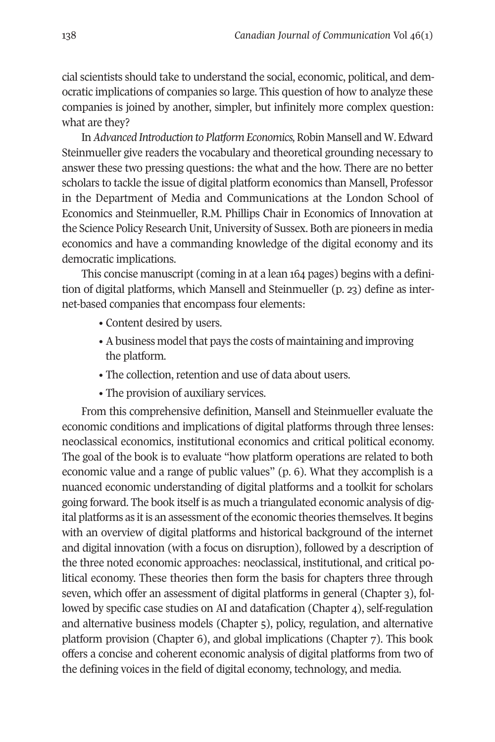138 *Canadian Journal of Communication* Vol 46(1)

cial scientists should take to understand the social, economic, political, and democratic implications of companies so large. This question of how to analyze these companies is joined by another, simpler, but infinitely more complex question: what are they?

In *Advanced Introduction to Platform Economics,* Robin Mansell and W. Edward Steinmueller give readers the vocabulary and theoretical grounding necessary to answer these two pressing questions: the what and the how. There are no better scholars to tackle the issue of digital platform economics than Mansell, Professor in the Department of Media and Communications at the London School of Economics and Steinmueller, R.M. Phillips Chair in Economics of Innovation at the Science Policy Research Unit, University of Sussex. Both are pioneers in media economics and have a commanding knowledge of the digital economy and its democratic implications.

This concise manuscript (coming in at a lean 164 pages) begins with a definition of digital platforms, which Mansell and Steinmueller (p. 23) define as internet-based companies that encompass four elements:

- Content desired by users.
- A business model that pays the costs of maintaining and improving the platform.
- The collection, retention and use of data about users.
- The provision of auxiliary services.

From this comprehensive definition, Mansell and Steinmueller evaluate the economic conditions and implications of digital platforms through three lenses: neoclassical economics, institutional economics and critical political economy. The goal of the book is to evaluate "how platform operations are related to both economic value and a range of public values" (p. 6). What they accomplish is a nuanced economic understanding of digital platforms and a toolkit for scholars going forward. The book itself is as much a triangulated economic analysis of digital platforms as it is an assessment of the economic theories themselves. It begins with an overview of digital platforms and historical background of the internet and digital innovation (with a focus on disruption), followed by a description of the three noted economic approaches: neoclassical, institutional, and critical political economy. These theories then form the basis for chapters three through seven, which offer an assessment of digital platforms in general (Chapter 3), followed by specific case studies on AI and datafication (Chapter 4), self-regulation and alternative business models (Chapter 5), policy, regulation, and alternative platform provision (Chapter 6), and global implications (Chapter 7). This book offers a concise and coherent economic analysis of digital platforms from two of the defining voices in the field of digital economy, technology, and media.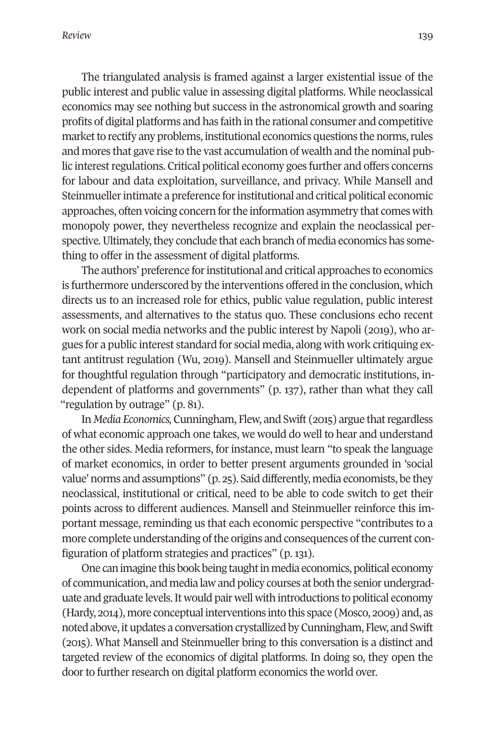The triangulated analysis is framed against a larger existential issue of the public interest and public value in assessing digital platforms. While neoclassical economics may see nothing but success in the astronomical growth and soaring profits of digital platforms and has faith in the rational consumer and competitive market to rectify any problems, institutional economics questions the norms, rules and mores that gave rise to the vast accumulation of wealth and the nominal public interest regulations. Critical political economy goes further and offers concerns for labour and data exploitation, surveillance, and privacy. While Mansell and Steinmueller intimate a preference for institutional and critical political economic approaches, often voicing concern for the information asymmetry that comes with monopoly power, they nevertheless recognize and explain the neoclassical perspective. Ultimately, they conclude that each branch of media economics has something to offer in the assessment of digital platforms.

The authors' preference for institutional and critical approaches to economics is furthermore underscored by the interventions offered in the conclusion, which directs us to an increased role for ethics, public value regulation, public interest assessments, and alternatives to the status quo. These conclusions echo recent work on social media networks and the public interest by Napoli (2019), who argues for a public interest standard for social media, along with work critiquing extant antitrust regulation (Wu, 2019). Mansell and Steinmueller ultimately argue for thoughtful regulation through "participatory and democratic institutions, independent of platforms and governments" (p. 137), rather than what they call "regulation by outrage" (p. 81).

In *Media Economics,* Cunningham, Flew, and Swift (2015) argue that regardless of what economic approach one takes, we would do well to hear and understand the other sides. Media reformers, for instance, must learn "to speak the language of market economics, in order to better present arguments grounded in 'social value' norms and assumptions" (p. 25). Said differently, media economists, be they neoclassical, institutional or critical, need to be able to code switch to get their points across to different audiences. Mansell and Steinmueller reinforce this important message, reminding us that each economic perspective "contributes to a more complete understanding of the origins and consequences of the current configuration of platform strategies and practices" (p. 131).

One can imagine this book being taught in media economics, political economy of communication, and media law and policy courses at both the senior undergraduate and graduate levels. It would pair well with introductions to political economy (Hardy, 2014), more conceptual interventions into this space (Mosco, 2009) and, as noted above, it updates a conversation crystallized by Cunningham, Flew, and Swift (2015). What Mansell and Steinmueller bring to this conversation is a distinct and targeted review of the economics of digital platforms. In doing so, they open the door to further research on digital platform economics the world over.